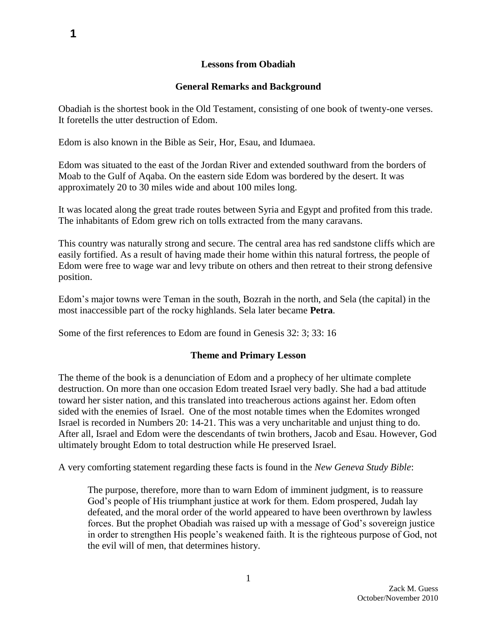## **Lessons from Obadiah**

## **General Remarks and Background**

Obadiah is the shortest book in the Old Testament, consisting of one book of twenty-one verses. It foretells the utter destruction of Edom.

Edom is also known in the Bible as Seir, Hor, Esau, and Idumaea.

Edom was situated to the east of the Jordan River and extended southward from the borders of Moab to the Gulf of Aqaba. On the eastern side Edom was bordered by the desert. It was approximately 20 to 30 miles wide and about 100 miles long.

It was located along the great trade routes between Syria and Egypt and profited from this trade. The inhabitants of Edom grew rich on tolls extracted from the many caravans.

This country was naturally strong and secure. The central area has red sandstone cliffs which are easily fortified. As a result of having made their home within this natural fortress, the people of Edom were free to wage war and levy tribute on others and then retreat to their strong defensive position.

Edom's major towns were Teman in the south, Bozrah in the north, and Sela (the capital) in the most inaccessible part of the rocky highlands. Sela later became **Petra**.

Some of the first references to Edom are found in Genesis 32: 3; 33: 16

# **Theme and Primary Lesson**

The theme of the book is a denunciation of Edom and a prophecy of her ultimate complete destruction. On more than one occasion Edom treated Israel very badly. She had a bad attitude toward her sister nation, and this translated into treacherous actions against her. Edom often sided with the enemies of Israel. One of the most notable times when the Edomites wronged Israel is recorded in Numbers 20: 14-21. This was a very uncharitable and unjust thing to do. After all, Israel and Edom were the descendants of twin brothers, Jacob and Esau. However, God ultimately brought Edom to total destruction while He preserved Israel.

A very comforting statement regarding these facts is found in the *New Geneva Study Bible*:

The purpose, therefore, more than to warn Edom of imminent judgment, is to reassure God's people of His triumphant justice at work for them. Edom prospered, Judah lay defeated, and the moral order of the world appeared to have been overthrown by lawless forces. But the prophet Obadiah was raised up with a message of God's sovereign justice in order to strengthen His people's weakened faith. It is the righteous purpose of God, not the evil will of men, that determines history.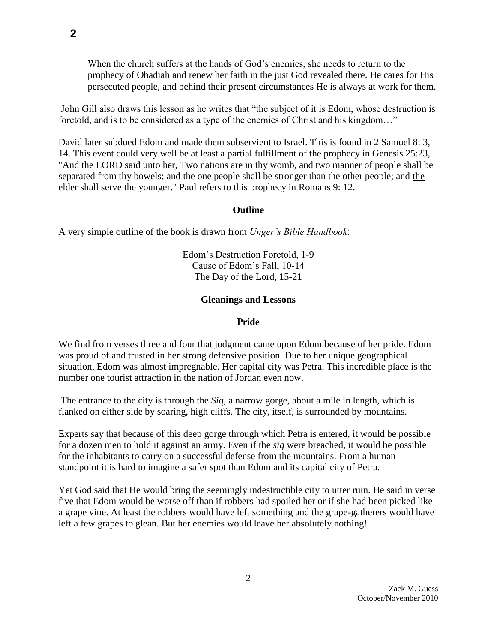When the church suffers at the hands of God's enemies, she needs to return to the prophecy of Obadiah and renew her faith in the just God revealed there. He cares for His persecuted people, and behind their present circumstances He is always at work for them.

John Gill also draws this lesson as he writes that "the subject of it is Edom, whose destruction is foretold, and is to be considered as a type of the enemies of Christ and his kingdom…"

David later subdued Edom and made them subservient to Israel. This is found in 2 Samuel 8: 3, 14. This event could very well be at least a partial fulfillment of the prophecy in Genesis 25:23, "And the LORD said unto her, Two nations are in thy womb, and two manner of people shall be separated from thy bowels; and the one people shall be stronger than the other people; and the elder shall serve the younger." Paul refers to this prophecy in Romans 9: 12.

### **Outline**

A very simple outline of the book is drawn from *Unger's Bible Handbook*:

Edom's Destruction Foretold, 1-9 Cause of Edom's Fall, 10-14 The Day of the Lord, 15-21

#### **Gleanings and Lessons**

#### **Pride**

We find from verses three and four that judgment came upon Edom because of her pride. Edom was proud of and trusted in her strong defensive position. Due to her unique geographical situation, Edom was almost impregnable. Her capital city was Petra. This incredible place is the number one tourist attraction in the nation of Jordan even now.

The entrance to the city is through the *Siq*, a narrow gorge, about a mile in length, which is flanked on either side by soaring, high cliffs. The city, itself, is surrounded by mountains.

Experts say that because of this deep gorge through which Petra is entered, it would be possible for a dozen men to hold it against an army. Even if the *siq* were breached, it would be possible for the inhabitants to carry on a successful defense from the mountains. From a human standpoint it is hard to imagine a safer spot than Edom and its capital city of Petra.

Yet God said that He would bring the seemingly indestructible city to utter ruin. He said in verse five that Edom would be worse off than if robbers had spoiled her or if she had been picked like a grape vine. At least the robbers would have left something and the grape-gatherers would have left a few grapes to glean. But her enemies would leave her absolutely nothing!

**2**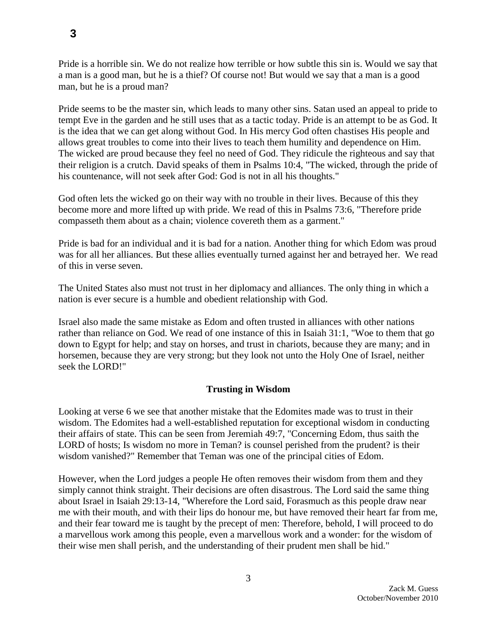Pride is a horrible sin. We do not realize how terrible or how subtle this sin is. Would we say that a man is a good man, but he is a thief? Of course not! But would we say that a man is a good man, but he is a proud man?

Pride seems to be the master sin, which leads to many other sins. Satan used an appeal to pride to tempt Eve in the garden and he still uses that as a tactic today. Pride is an attempt to be as God. It is the idea that we can get along without God. In His mercy God often chastises His people and allows great troubles to come into their lives to teach them humility and dependence on Him. The wicked are proud because they feel no need of God. They ridicule the righteous and say that their religion is a crutch. David speaks of them in Psalms 10:4, "The wicked, through the pride of his countenance, will not seek after God: God is not in all his thoughts."

God often lets the wicked go on their way with no trouble in their lives. Because of this they become more and more lifted up with pride. We read of this in Psalms 73:6, "Therefore pride compasseth them about as a chain; violence covereth them as a garment."

Pride is bad for an individual and it is bad for a nation. Another thing for which Edom was proud was for all her alliances. But these allies eventually turned against her and betrayed her. We read of this in verse seven.

The United States also must not trust in her diplomacy and alliances. The only thing in which a nation is ever secure is a humble and obedient relationship with God.

Israel also made the same mistake as Edom and often trusted in alliances with other nations rather than reliance on God. We read of one instance of this in Isaiah 31:1, "Woe to them that go down to Egypt for help; and stay on horses, and trust in chariots, because they are many; and in horsemen, because they are very strong; but they look not unto the Holy One of Israel, neither seek the LORD!"

# **Trusting in Wisdom**

Looking at verse 6 we see that another mistake that the Edomites made was to trust in their wisdom. The Edomites had a well-established reputation for exceptional wisdom in conducting their affairs of state. This can be seen from Jeremiah 49:7, "Concerning Edom, thus saith the LORD of hosts; Is wisdom no more in Teman? is counsel perished from the prudent? is their wisdom vanished?" Remember that Teman was one of the principal cities of Edom.

However, when the Lord judges a people He often removes their wisdom from them and they simply cannot think straight. Their decisions are often disastrous. The Lord said the same thing about Israel in Isaiah 29:13-14, "Wherefore the Lord said, Forasmuch as this people draw near me with their mouth, and with their lips do honour me, but have removed their heart far from me, and their fear toward me is taught by the precept of men: Therefore, behold, I will proceed to do a marvellous work among this people, even a marvellous work and a wonder: for the wisdom of their wise men shall perish, and the understanding of their prudent men shall be hid."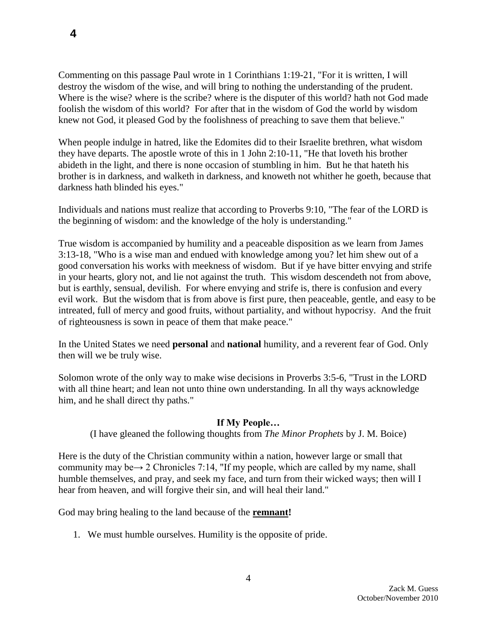Commenting on this passage Paul wrote in 1 Corinthians 1:19-21, "For it is written, I will destroy the wisdom of the wise, and will bring to nothing the understanding of the prudent. Where is the wise? where is the scribe? where is the disputer of this world? hath not God made foolish the wisdom of this world? For after that in the wisdom of God the world by wisdom knew not God, it pleased God by the foolishness of preaching to save them that believe."

When people indulge in hatred, like the Edomites did to their Israelite brethren, what wisdom they have departs. The apostle wrote of this in 1 John 2:10-11, "He that loveth his brother abideth in the light, and there is none occasion of stumbling in him. But he that hateth his brother is in darkness, and walketh in darkness, and knoweth not whither he goeth, because that darkness hath blinded his eyes."

Individuals and nations must realize that according to Proverbs 9:10, "The fear of the LORD is the beginning of wisdom: and the knowledge of the holy is understanding."

True wisdom is accompanied by humility and a peaceable disposition as we learn from James 3:13-18, "Who is a wise man and endued with knowledge among you? let him shew out of a good conversation his works with meekness of wisdom. But if ye have bitter envying and strife in your hearts, glory not, and lie not against the truth. This wisdom descendeth not from above, but is earthly, sensual, devilish. For where envying and strife is, there is confusion and every evil work. But the wisdom that is from above is first pure, then peaceable, gentle, and easy to be intreated, full of mercy and good fruits, without partiality, and without hypocrisy. And the fruit of righteousness is sown in peace of them that make peace."

In the United States we need **personal** and **national** humility, and a reverent fear of God. Only then will we be truly wise.

Solomon wrote of the only way to make wise decisions in Proverbs 3:5-6, "Trust in the LORD with all thine heart; and lean not unto thine own understanding. In all thy ways acknowledge him, and he shall direct thy paths."

### **If My People…**

(I have gleaned the following thoughts from *The Minor Prophets* by J. M. Boice)

Here is the duty of the Christian community within a nation, however large or small that community may be $\rightarrow$  2 Chronicles 7:14, "If my people, which are called by my name, shall humble themselves, and pray, and seek my face, and turn from their wicked ways; then will I hear from heaven, and will forgive their sin, and will heal their land."

God may bring healing to the land because of the **remnant!** 

1. We must humble ourselves. Humility is the opposite of pride.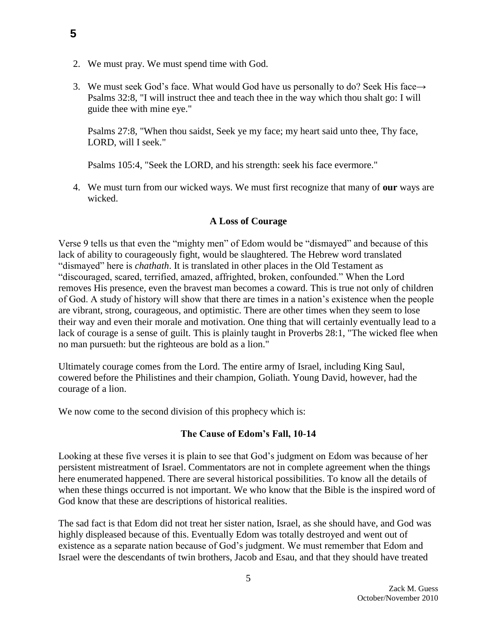- 2. We must pray. We must spend time with God.
- 3. We must seek God's face. What would God have us personally to do? Seek His face $\rightarrow$ Psalms 32:8, "I will instruct thee and teach thee in the way which thou shalt go: I will guide thee with mine eye."

Psalms 27:8, "When thou saidst, Seek ye my face; my heart said unto thee, Thy face, LORD, will I seek."

Psalms 105:4, "Seek the LORD, and his strength: seek his face evermore."

4. We must turn from our wicked ways. We must first recognize that many of **our** ways are wicked.

## **A Loss of Courage**

Verse 9 tells us that even the "mighty men" of Edom would be "dismayed" and because of this lack of ability to courageously fight, would be slaughtered. The Hebrew word translated "dismayed" here is *chathath*. It is translated in other places in the Old Testament as "discouraged, scared, terrified, amazed, affrighted, broken, confounded." When the Lord removes His presence, even the bravest man becomes a coward. This is true not only of children of God. A study of history will show that there are times in a nation's existence when the people are vibrant, strong, courageous, and optimistic. There are other times when they seem to lose their way and even their morale and motivation. One thing that will certainly eventually lead to a lack of courage is a sense of guilt. This is plainly taught in Proverbs 28:1, "The wicked flee when no man pursueth: but the righteous are bold as a lion."

Ultimately courage comes from the Lord. The entire army of Israel, including King Saul, cowered before the Philistines and their champion, Goliath. Young David, however, had the courage of a lion.

We now come to the second division of this prophecy which is:

### **The Cause of Edom's Fall, 10-14**

Looking at these five verses it is plain to see that God's judgment on Edom was because of her persistent mistreatment of Israel. Commentators are not in complete agreement when the things here enumerated happened. There are several historical possibilities. To know all the details of when these things occurred is not important. We who know that the Bible is the inspired word of God know that these are descriptions of historical realities.

The sad fact is that Edom did not treat her sister nation, Israel, as she should have, and God was highly displeased because of this. Eventually Edom was totally destroyed and went out of existence as a separate nation because of God's judgment. We must remember that Edom and Israel were the descendants of twin brothers, Jacob and Esau, and that they should have treated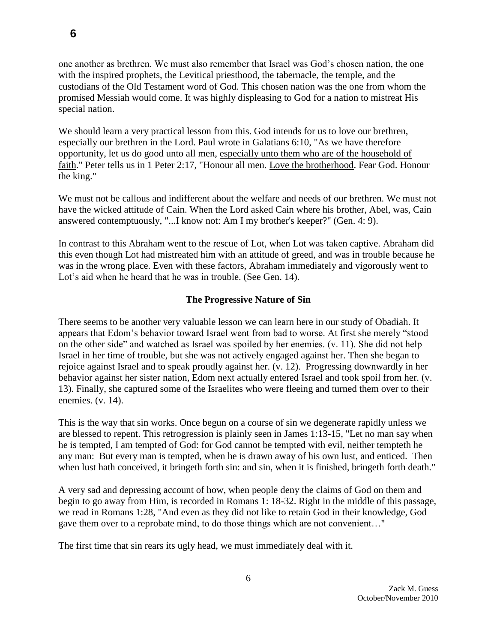one another as brethren. We must also remember that Israel was God's chosen nation, the one with the inspired prophets, the Levitical priesthood, the tabernacle, the temple, and the custodians of the Old Testament word of God. This chosen nation was the one from whom the promised Messiah would come. It was highly displeasing to God for a nation to mistreat His special nation.

We should learn a very practical lesson from this. God intends for us to love our brethren, especially our brethren in the Lord. Paul wrote in Galatians 6:10, "As we have therefore opportunity, let us do good unto all men, especially unto them who are of the household of faith." Peter tells us in 1 Peter 2:17, "Honour all men. Love the brotherhood. Fear God. Honour the king."

We must not be callous and indifferent about the welfare and needs of our brethren. We must not have the wicked attitude of Cain. When the Lord asked Cain where his brother, Abel, was, Cain answered contemptuously, "...I know not: Am I my brother's keeper?" (Gen. 4: 9).

In contrast to this Abraham went to the rescue of Lot, when Lot was taken captive. Abraham did this even though Lot had mistreated him with an attitude of greed, and was in trouble because he was in the wrong place. Even with these factors, Abraham immediately and vigorously went to Lot's aid when he heard that he was in trouble. (See Gen. 14).

# **The Progressive Nature of Sin**

There seems to be another very valuable lesson we can learn here in our study of Obadiah. It appears that Edom's behavior toward Israel went from bad to worse. At first she merely "stood on the other side" and watched as Israel was spoiled by her enemies. (v. 11). She did not help Israel in her time of trouble, but she was not actively engaged against her. Then she began to rejoice against Israel and to speak proudly against her. (v. 12). Progressing downwardly in her behavior against her sister nation, Edom next actually entered Israel and took spoil from her. (v. 13). Finally, she captured some of the Israelites who were fleeing and turned them over to their enemies. (v. 14).

This is the way that sin works. Once begun on a course of sin we degenerate rapidly unless we are blessed to repent. This retrogression is plainly seen in James 1:13-15, "Let no man say when he is tempted, I am tempted of God: for God cannot be tempted with evil, neither tempteth he any man: But every man is tempted, when he is drawn away of his own lust, and enticed. Then when lust hath conceived, it bringeth forth sin: and sin, when it is finished, bringeth forth death."

A very sad and depressing account of how, when people deny the claims of God on them and begin to go away from Him, is recorded in Romans 1: 18-32. Right in the middle of this passage, we read in Romans 1:28, "And even as they did not like to retain God in their knowledge, God gave them over to a reprobate mind, to do those things which are not convenient…"

The first time that sin rears its ugly head, we must immediately deal with it.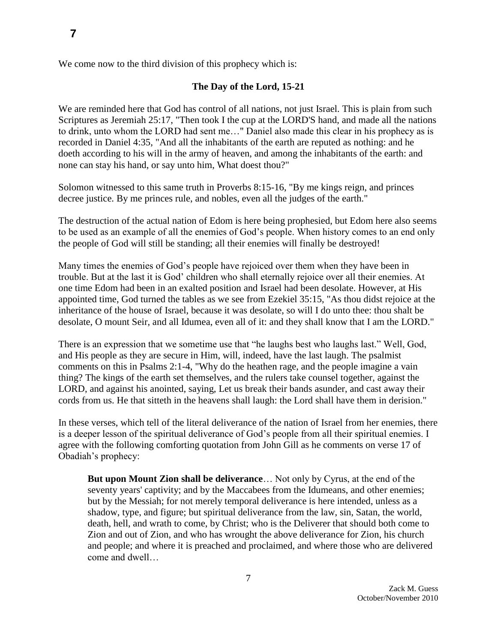We come now to the third division of this prophecy which is:

#### **The Day of the Lord, 15-21**

We are reminded here that God has control of all nations, not just Israel. This is plain from such Scriptures as Jeremiah 25:17, "Then took I the cup at the LORD'S hand, and made all the nations to drink, unto whom the LORD had sent me…" Daniel also made this clear in his prophecy as is recorded in Daniel 4:35, "And all the inhabitants of the earth are reputed as nothing: and he doeth according to his will in the army of heaven, and among the inhabitants of the earth: and none can stay his hand, or say unto him, What doest thou?"

Solomon witnessed to this same truth in Proverbs 8:15-16, "By me kings reign, and princes decree justice. By me princes rule, and nobles, even all the judges of the earth."

The destruction of the actual nation of Edom is here being prophesied, but Edom here also seems to be used as an example of all the enemies of God's people. When history comes to an end only the people of God will still be standing; all their enemies will finally be destroyed!

Many times the enemies of God's people have rejoiced over them when they have been in trouble. But at the last it is God' children who shall eternally rejoice over all their enemies. At one time Edom had been in an exalted position and Israel had been desolate. However, at His appointed time, God turned the tables as we see from Ezekiel 35:15, "As thou didst rejoice at the inheritance of the house of Israel, because it was desolate, so will I do unto thee: thou shalt be desolate, O mount Seir, and all Idumea, even all of it: and they shall know that I am the LORD."

There is an expression that we sometime use that "he laughs best who laughs last." Well, God, and His people as they are secure in Him, will, indeed, have the last laugh. The psalmist comments on this in Psalms 2:1-4, "Why do the heathen rage, and the people imagine a vain thing? The kings of the earth set themselves, and the rulers take counsel together, against the LORD, and against his anointed, saying, Let us break their bands asunder, and cast away their cords from us. He that sitteth in the heavens shall laugh: the Lord shall have them in derision."

In these verses, which tell of the literal deliverance of the nation of Israel from her enemies, there is a deeper lesson of the spiritual deliverance of God's people from all their spiritual enemies. I agree with the following comforting quotation from John Gill as he comments on verse 17 of Obadiah's prophecy:

**But upon Mount Zion shall be deliverance**… Not only by Cyrus, at the end of the seventy years' captivity; and by the Maccabees from the Idumeans, and other enemies; but by the Messiah; for not merely temporal deliverance is here intended, unless as a shadow, type, and figure; but spiritual deliverance from the law, sin, Satan, the world, death, hell, and wrath to come, by Christ; who is the Deliverer that should both come to Zion and out of Zion, and who has wrought the above deliverance for Zion, his church and people; and where it is preached and proclaimed, and where those who are delivered come and dwell…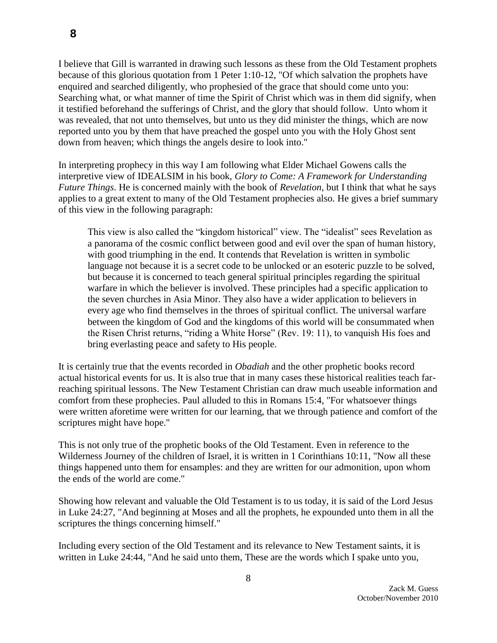I believe that Gill is warranted in drawing such lessons as these from the Old Testament prophets because of this glorious quotation from 1 Peter 1:10-12, "Of which salvation the prophets have enquired and searched diligently, who prophesied of the grace that should come unto you: Searching what, or what manner of time the Spirit of Christ which was in them did signify, when it testified beforehand the sufferings of Christ, and the glory that should follow. Unto whom it was revealed, that not unto themselves, but unto us they did minister the things, which are now reported unto you by them that have preached the gospel unto you with the Holy Ghost sent down from heaven; which things the angels desire to look into."

In interpreting prophecy in this way I am following what Elder Michael Gowens calls the interpretive view of IDEALSIM in his book, *Glory to Come: A Framework for Understanding Future Things*. He is concerned mainly with the book of *Revelation*, but I think that what he says applies to a great extent to many of the Old Testament prophecies also. He gives a brief summary of this view in the following paragraph:

This view is also called the "kingdom historical" view. The "idealist" sees Revelation as a panorama of the cosmic conflict between good and evil over the span of human history, with good triumphing in the end. It contends that Revelation is written in symbolic language not because it is a secret code to be unlocked or an esoteric puzzle to be solved, but because it is concerned to teach general spiritual principles regarding the spiritual warfare in which the believer is involved. These principles had a specific application to the seven churches in Asia Minor. They also have a wider application to believers in every age who find themselves in the throes of spiritual conflict. The universal warfare between the kingdom of God and the kingdoms of this world will be consummated when the Risen Christ returns, "riding a White Horse" (Rev. 19: 11), to vanquish His foes and bring everlasting peace and safety to His people.

It is certainly true that the events recorded in *Obadiah* and the other prophetic books record actual historical events for us. It is also true that in many cases these historical realities teach farreaching spiritual lessons. The New Testament Christian can draw much useable information and comfort from these prophecies. Paul alluded to this in Romans 15:4, "For whatsoever things were written aforetime were written for our learning, that we through patience and comfort of the scriptures might have hope."

This is not only true of the prophetic books of the Old Testament. Even in reference to the Wilderness Journey of the children of Israel, it is written in 1 Corinthians 10:11, "Now all these things happened unto them for ensamples: and they are written for our admonition, upon whom the ends of the world are come."

Showing how relevant and valuable the Old Testament is to us today, it is said of the Lord Jesus in Luke 24:27, "And beginning at Moses and all the prophets, he expounded unto them in all the scriptures the things concerning himself."

Including every section of the Old Testament and its relevance to New Testament saints, it is written in Luke 24:44, "And he said unto them, These are the words which I spake unto you,